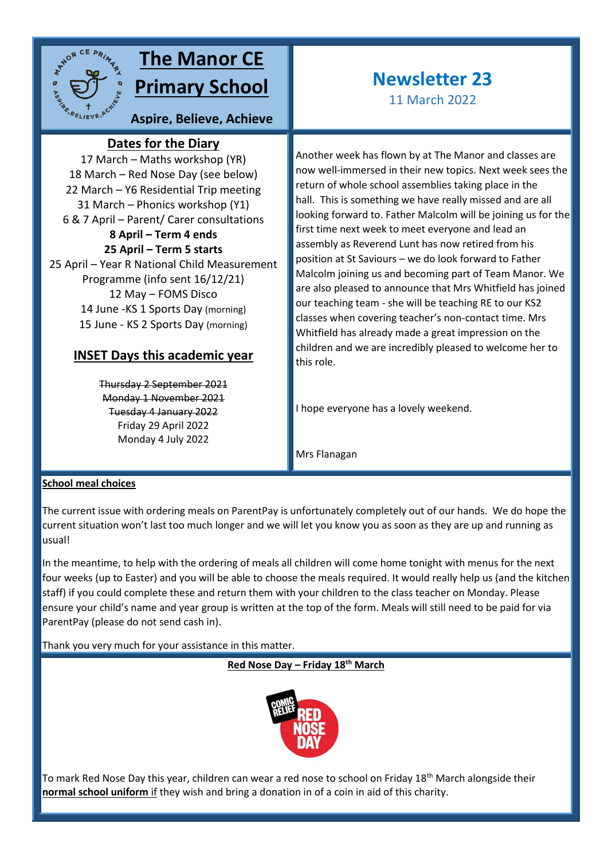

## **The Manor CE Primary School**

**Aspire, Believe, Achieve**

### **Dates for the Diary**

17 March – Maths workshop (YR) **sky**18 March – Red Nose Day (see below) 22 March – Y6 Residential Trip meeting 31 March – Phonics workshop (Y1) 6 & 7 April – Parent/ Carer consultations **8 April – Term 4 ends 25 April – Term 5 starts** 25 April – Year R National Child Measurement Programme (info sent 16/12/21) 12 May – FOMS Disco 14 June -KS 1 Sports Day (morning) 15 June - KS 2 Sports Day (morning)

### **INSET Days this academic year**

Thursday 2 September 2021 Monday 1 November 2021 Tuesday 4 January 2022 Friday 29 April 2022 Monday 4 July 2022

# **Newsletter 23**

11 March 2022

Another week has flown by at The Manor and classes are now well-immersed in their new topics. Next week sees the return of whole school assemblies taking place in the hall. This is something we have really missed and are all looking forward to. Father Malcolm will be joining us for the first time next week to meet everyone and lead an assembly as Reverend Lunt has now retired from his position at St Saviours – we do look forward to Father Malcolm joining us and becoming part of Team Manor. We are also pleased to announce that Mrs Whitfield has joined our teaching team - she will be teaching RE to our KS2 classes when covering teacher's non-contact time. Mrs Whitfield has already made a great impression on the children and we are incredibly pleased to welcome her to this role.

I hope everyone has a lovely weekend.

Mrs Flanagan

#### **School meal choices**

The current issue with ordering meals on ParentPay is unfortunately completely out of our hands. We do hope the current situation won't last too much longer and we will let you know you as soon as they are up and running as usual!

In the meantime, to help with the ordering of meals all children will come home tonight with menus for the next four weeks (up to Easter) and you will be able to choose the meals required. It would really help us (and the kitchen staff) if you could complete these and return them with your children to the class teacher on Monday. Please ensure your child's name and year group is written at the top of the form. Meals will still need to be paid for via ParentPay (please do not send cash in).

Thank you very much for your assistance in this matter.

**Red Nose Day – Friday 18th March**



To mark Red Nose Day this year, children can wear a red nose to school on Friday 18<sup>th</sup> March alongside their **normal school uniform** if they wish and bring a donation in of a coin in aid of this charity.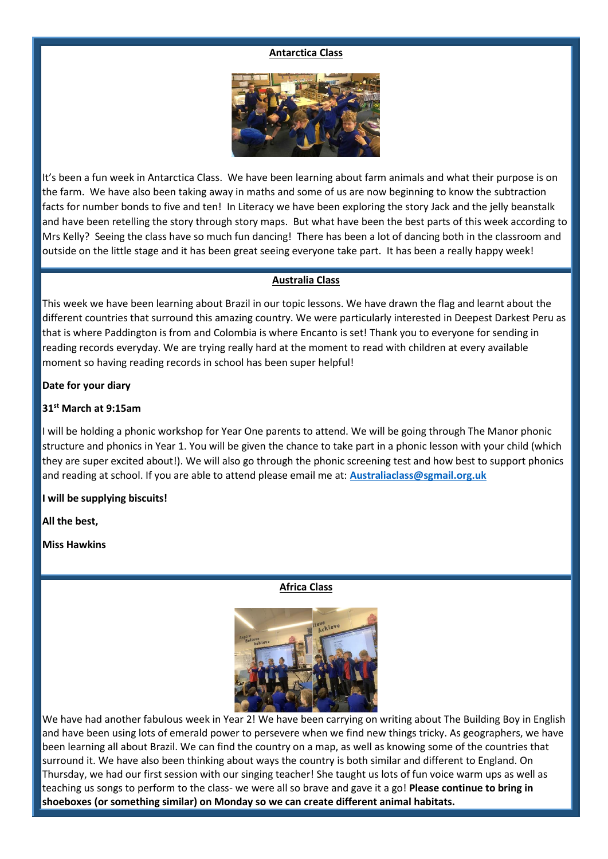#### **Antarctica Class**



It's been a fun week in Antarctica Class. We have been learning about farm animals and what their purpose is on the farm. We have also been taking away in maths and some of us are now beginning to know the subtraction facts for number bonds to five and ten! In Literacy we have been exploring the story Jack and the jelly beanstalk and have been retelling the story through story maps. But what have been the best parts of this week according to Mrs Kelly? Seeing the class have so much fun dancing! There has been a lot of dancing both in the classroom and outside on the little stage and it has been great seeing everyone take part. It has been a really happy week!

#### **Australia Class**

This week we have been learning about Brazil in our topic lessons. We have drawn the flag and learnt about the different countries that surround this amazing country. We were particularly interested in Deepest Darkest Peru as that is where Paddington is from and Colombia is where Encanto is set! Thank you to everyone for sending in reading records everyday. We are trying really hard at the moment to read with children at every available moment so having reading records in school has been super helpful!

#### **Date for your diary**

#### **31st March at 9:15am**

I will be holding a phonic workshop for Year One parents to attend. We will be going through The Manor phonic structure and phonics in Year 1. You will be given the chance to take part in a phonic lesson with your child (which they are super excited about!). We will also go through the phonic screening test and how best to support phonics and reading at school. If you are able to attend please email me at: **[Australiaclass@sgmail.org.uk](mailto:Australiaclass@sgmail.org.uk)**

#### **I will be supplying biscuits!**

**All the best,**

#### **Miss Hawkins**

**Africa Class**



We have had another fabulous week in Year 2! We have been carrying on writing about The Building Boy in English and have been using lots of emerald power to persevere when we find new things tricky. As geographers, we have been learning all about Brazil. We can find the country on a map, as well as knowing some of the countries that surround it. We have also been thinking about ways the country is both similar and different to England. On Thursday, we had our first session with our singing teacher! She taught us lots of fun voice warm ups as well as teaching us songs to perform to the class- we were all so brave and gave it a go! **Please continue to bring in shoeboxes (or something similar) on Monday so we can create different animal habitats.**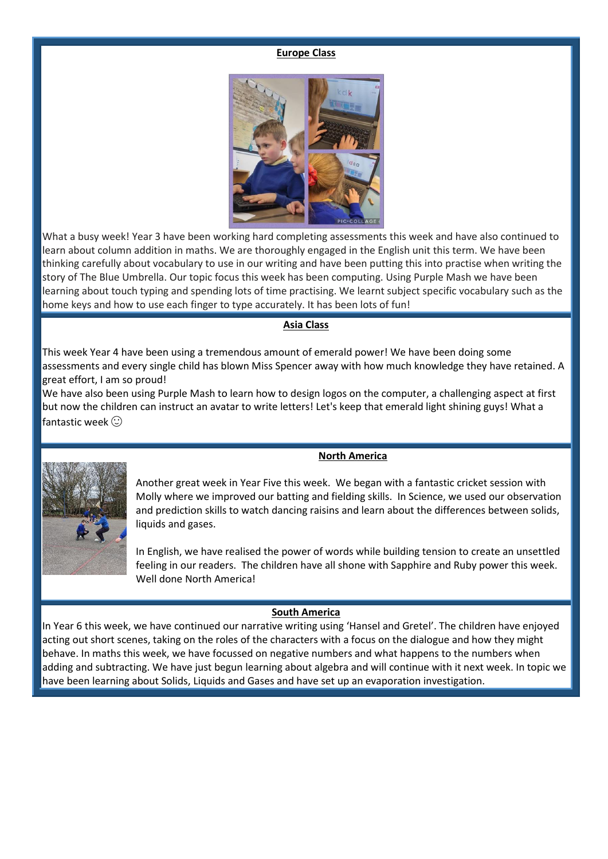#### **Europe Class**



What a busy week! Year 3 have been working hard completing assessments this week and have also continued to learn about column addition in maths. We are thoroughly engaged in the English unit this term. We have been thinking carefully about vocabulary to use in our writing and have been putting this into practise when writing the story of The Blue Umbrella. Our topic focus this week has been computing. Using Purple Mash we have been learning about touch typing and spending lots of time practising. We learnt subject specific vocabulary such as the home keys and how to use each finger to type accurately. It has been lots of fun!

#### **Asia Class**

This week Year 4 have been using a tremendous amount of emerald power! We have been doing some assessments and every single child has blown Miss Spencer away with how much knowledge they have retained. A great effort, I am so proud!

We have also been using Purple Mash to learn how to design logos on the computer, a challenging aspect at first but now the children can instruct an avatar to write letters! Let's keep that emerald light shining guys! What a fantastic week  $\odot$ 



Another great week in Year Five this week. We began with a fantastic cricket session with Molly where we improved our batting and fielding skills. In Science, we used our observation and prediction skills to watch dancing raisins and learn about the differences between solids, liquids and gases.

In English, we have realised the power of words while building tension to create an unsettled feeling in our readers. The children have all shone with Sapphire and Ruby power this week. Well done North America!

#### **South America**

In Year 6 this week, we have continued our narrative writing using 'Hansel and Gretel'. The children have enjoyed acting out short scenes, taking on the roles of the characters with a focus on the dialogue and how they might behave. In maths this week, we have focussed on negative numbers and what happens to the numbers when adding and subtracting. We have just begun learning about algebra and will continue with it next week. In topic we have been learning about Solids, Liquids and Gases and have set up an evaporation investigation.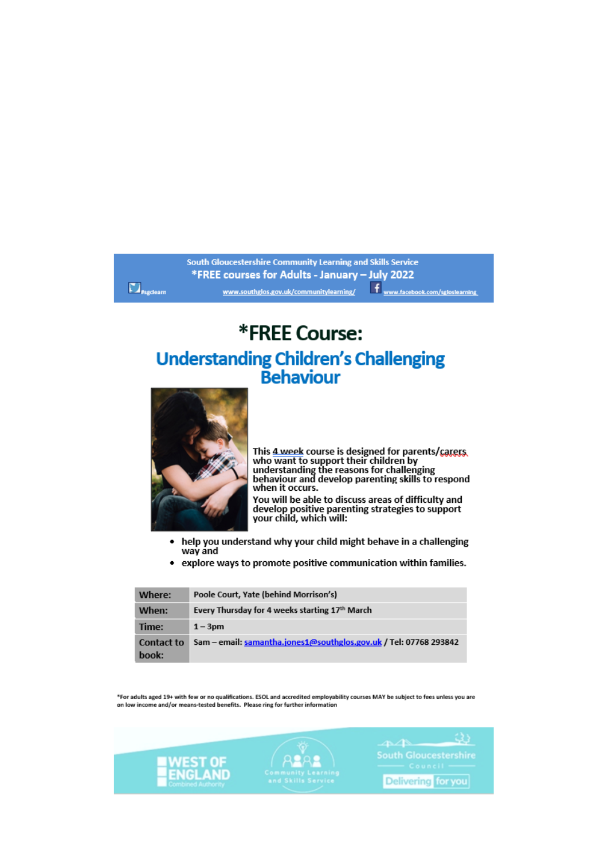#### South Gloucestershire Community Learning and Skills Service \*FREE courses for Adults - January - July 2022  $\Box$ <sub>#sgdeam</sub> f www.facebook.com/sgloslearning www.southglos.gov.uk/communitylearning/

# **\*FREE Course: Understanding Children's Challenging<br>Behaviour**



This <u>4 week</u> course is designed for parents/caress,<br>who want to support their children by<br>understanding the reasons for challenging<br>behaviour and develop parenting skills to respond<br>when it occurs. You will be able to discuss areas of difficulty and develop positive parenting strategies to support<br>your child, which will:

- help you understand why your child might behave in a challenging  $\bullet$ way and
- explore ways to promote positive communication within families.

| Where:                     | Poole Court, Yate (behind Morrison's)                             |
|----------------------------|-------------------------------------------------------------------|
| When:                      | Every Thursday for 4 weeks starting 17th March                    |
| Time:                      | $1 - 3pm$                                                         |
| <b>Contact to</b><br>book: | Sam - email: samantha.jones1@southglos.gov.uk / Tel: 07768 293842 |

\*For adults aged 19+ with few or no qualifications. ESOL and accredited employability courses MAY be subject to fees unless you are on low income and/or means-tested benefits. Please ring for further information